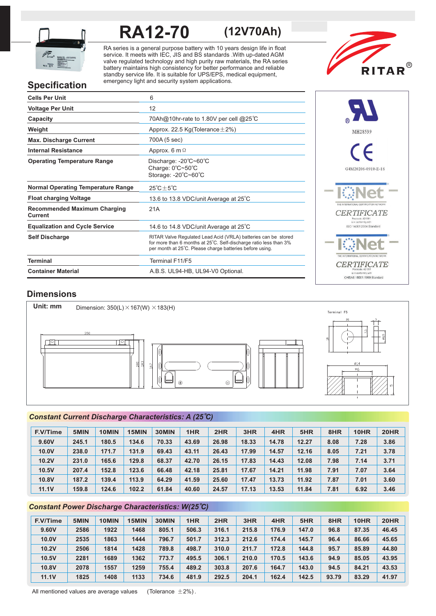

# **RA12-70 (12V70Ah)**

RA series is a general purpose battery with 10 years design life in float service. It meets with IEC, JIS and BS standards .With up-dated AGM valve regulated technology and high purity raw materials, the RA series battery maintains high consistency for better performance and reliable standby service life. It is suitable for UPS/EPS, medical equipment, emergency light and security system applications.



# **Specification**

| <b>Cells Per Unit</b>                          | 6                                                                                                                                                                                               |
|------------------------------------------------|-------------------------------------------------------------------------------------------------------------------------------------------------------------------------------------------------|
| <b>Voltage Per Unit</b>                        | 12                                                                                                                                                                                              |
| Capacity                                       | 70Ah@10hr-rate to 1.80V per cell @25°C                                                                                                                                                          |
| Weight                                         | Approx. 22.5 Kg(Tolerance $\pm$ 2%)                                                                                                                                                             |
| <b>Max. Discharge Current</b>                  | 700A (5 sec)                                                                                                                                                                                    |
| <b>Internal Resistance</b>                     | Approx. 6 m $\Omega$                                                                                                                                                                            |
| <b>Operating Temperature Range</b>             | Discharge: -20°C~60°C<br>Charge: 0°C~50°C<br>Storage: -20°C~60°C                                                                                                                                |
| <b>Normal Operating Temperature Range</b>      | $25^{\circ}$ C + $5^{\circ}$ C                                                                                                                                                                  |
| <b>Float charging Voltage</b>                  | 13.6 to 13.8 VDC/unit Average at 25°C                                                                                                                                                           |
| <b>Recommended Maximum Charging</b><br>Current | 21A                                                                                                                                                                                             |
| <b>Equalization and Cycle Service</b>          | 14.6 to 14.8 VDC/unit Average at 25°C                                                                                                                                                           |
| <b>Self Discharge</b>                          | RITAR Valve Regulated Lead Acid (VRLA) batteries can be stored<br>for more than 6 months at 25°C. Self-discharge ratio less than 3%<br>per month at 25°C. Please charge batteries before using. |
| <b>Terminal</b>                                | Terminal F11/F5                                                                                                                                                                                 |
| <b>Container Material</b>                      | A.B.S. UL94-HB, UL94-V0 Optional.                                                                                                                                                               |



## **Dimensions**



### *o Constant Current Discharge Characteristics: A (25 C)*

| <b>F.V/Time</b> | 5MIN  | 10MIN | 15MIN | 30MIN | 1HR   | 2HR   | 3HR   | 4HR   | 5HR   | 8HR  | 10HR | <b>20HR</b> |
|-----------------|-------|-------|-------|-------|-------|-------|-------|-------|-------|------|------|-------------|
| 9.60V           | 245.1 | 180.5 | 134.6 | 70.33 | 43.69 | 26.98 | 18.33 | 14.78 | 12.27 | 8.08 | 7.28 | 3.86        |
| 10.0V           | 238.0 | 171.7 | 131.9 | 69.43 | 43.11 | 26.43 | 17.99 | 14.57 | 12.16 | 8.05 | 7.21 | 3.78        |
| <b>10.2V</b>    | 231.0 | 165.6 | 129.8 | 68.37 | 42.70 | 26.15 | 17.83 | 14.43 | 12.08 | 7.98 | 7.14 | 3.71        |
| 10.5V           | 207.4 | 152.8 | 123.6 | 66.48 | 42.18 | 25.81 | 17.67 | 14.21 | 11.98 | 7.91 | 7.07 | 3.64        |
| 10.8V           | 187.2 | 139.4 | 113.9 | 64.29 | 41.59 | 25.60 | 17.47 | 13.73 | 11.92 | 7.87 | 7.01 | 3.60        |
| <b>11.1V</b>    | 159.8 | 124.6 | 102.2 | 61.84 | 40.60 | 24.57 | 17.13 | 13.53 | 11.84 | 7.81 | 6.92 | 3.46        |

### *o Constant Power Discharge Characteristics: W(25 C)*

| F.V/Time | 5MIN | 10MIN | 15MIN | 30MIN | 1HR   | 2HR   | 3HR   | 4HR   | 5HR   | 8HR   | 10HR  | <b>20HR</b> |
|----------|------|-------|-------|-------|-------|-------|-------|-------|-------|-------|-------|-------------|
| 9.60V    | 2586 | 1922  | 1468  | 805.1 | 506.3 | 316.1 | 215.8 | 176.9 | 147.0 | 96.8  | 87.35 | 46.45       |
| 10.0V    | 2535 | 1863  | 1444  | 796.7 | 501.7 | 312.3 | 212.6 | 174.4 | 145.7 | 96.4  | 86.66 | 45.65       |
| 10.2V    | 2506 | 1814  | 1428  | 789.8 | 498.7 | 310.0 | 211.7 | 172.8 | 144.8 | 95.7  | 85.89 | 44.80       |
| 10.5V    | 2281 | 1689  | 1362  | 773.7 | 495.5 | 306.1 | 210.0 | 170.5 | 143.6 | 94.9  | 85.05 | 43.95       |
| 10.8V    | 2078 | 1557  | 1259  | 755.4 | 489.2 | 303.8 | 207.6 | 164.7 | 143.0 | 94.5  | 84.21 | 43.53       |
| 11.1V    | 1825 | 1408  | 1133  | 734.6 | 481.9 | 292.5 | 204.1 | 162.4 | 142.5 | 93.79 | 83.29 | 41.97       |

All mentioned values are average values (Tolerance  $\pm 2\%$ ).